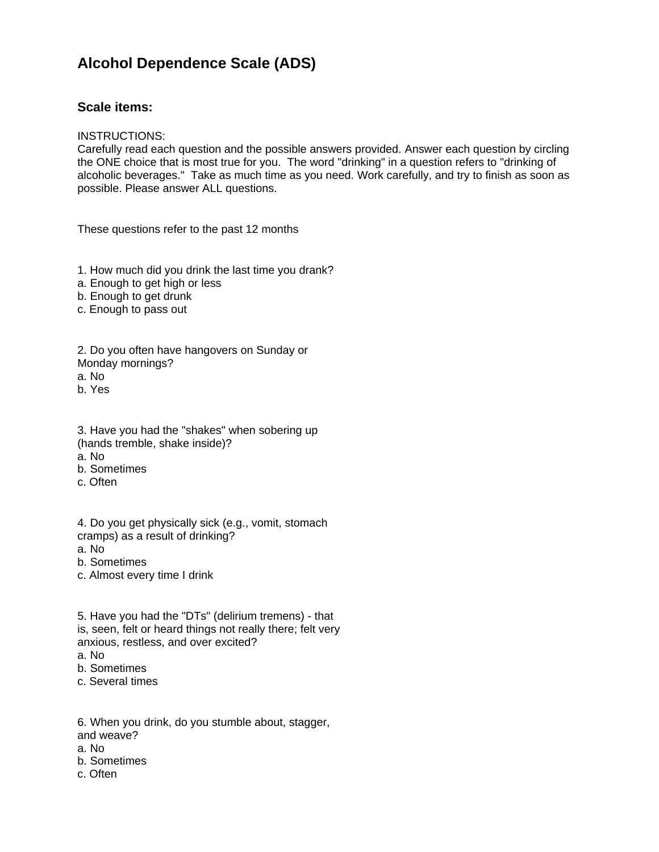## **Alcohol Dependence Scale (ADS)**

## **Scale items:**

## INSTRUCTIONS:

Carefully read each question and the possible answers provided. Answer each question by circling the ONE choice that is most true for you. The word "drinking" in a question refers to "drinking of alcoholic beverages." Take as much time as you need. Work carefully, and try to finish as soon as possible. Please answer ALL questions.

These questions refer to the past 12 months

- 1. How much did you drink the last time you drank?
- a. Enough to get high or less
- b. Enough to get drunk
- c. Enough to pass out

2. Do you often have hangovers on Sunday or Monday mornings?

- a. No
- b. Yes
- 3. Have you had the "shakes" when sobering up
- (hands tremble, shake inside)?
- a. No
- b. Sometimes
- c. Often

4. Do you get physically sick (e.g., vomit, stomach cramps) as a result of drinking?

- a. No
- b. Sometimes
- c. Almost every time I drink
- 5. Have you had the "DTs" (delirium tremens) that is, seen, felt or heard things not really there; felt very anxious, restless, and over excited? a. No
- b. Sometimes
- c. Several times

6. When you drink, do you stumble about, stagger, and weave?

- a. No
- b. Sometimes
- c. Often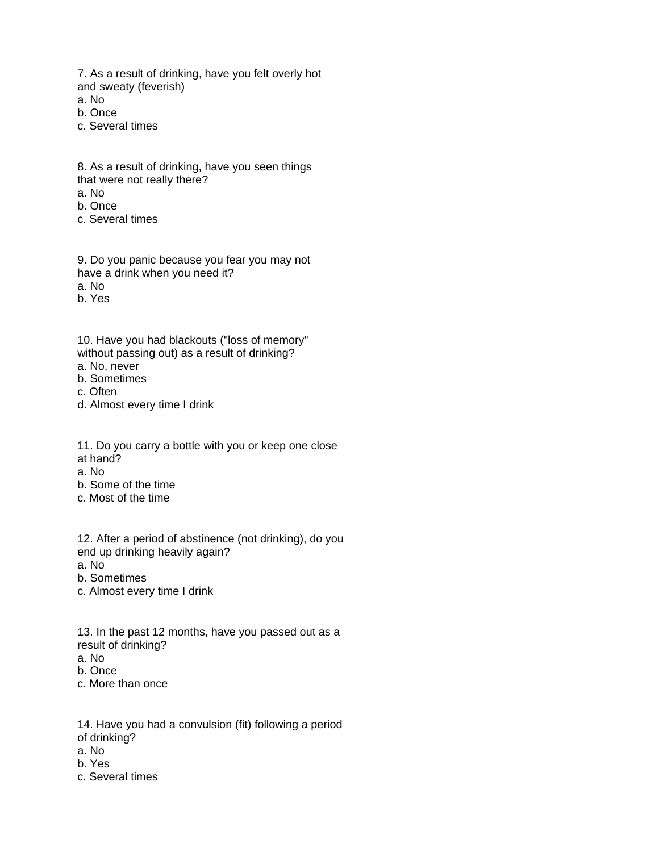7. As a result of drinking, have you felt overly hot and sweaty (feverish)

a. No

b. Once

c. Several times

8. As a result of drinking, have you seen things that were not really there?

a. No

b. Once

c. Several times

9. Do you panic because you fear you may not have a drink when you need it? a. No

b. Yes

10. Have you had blackouts ("loss of memory" without passing out) as a result of drinking?

a. No, never

b. Sometimes

c. Often

d. Almost every time I drink

11. Do you carry a bottle with you or keep one close

at hand?

a. No

b. Some of the time

c. Most of the time

12. After a period of abstinence (not drinking), do you end up drinking heavily again?

a. No

b. Sometimes

c. Almost every time I drink

13. In the past 12 months, have you passed out as a result of drinking?

a. No

b. Once

c. More than once

14. Have you had a convulsion (fit) following a period of drinking?

a. No

- b. Yes
- c. Several times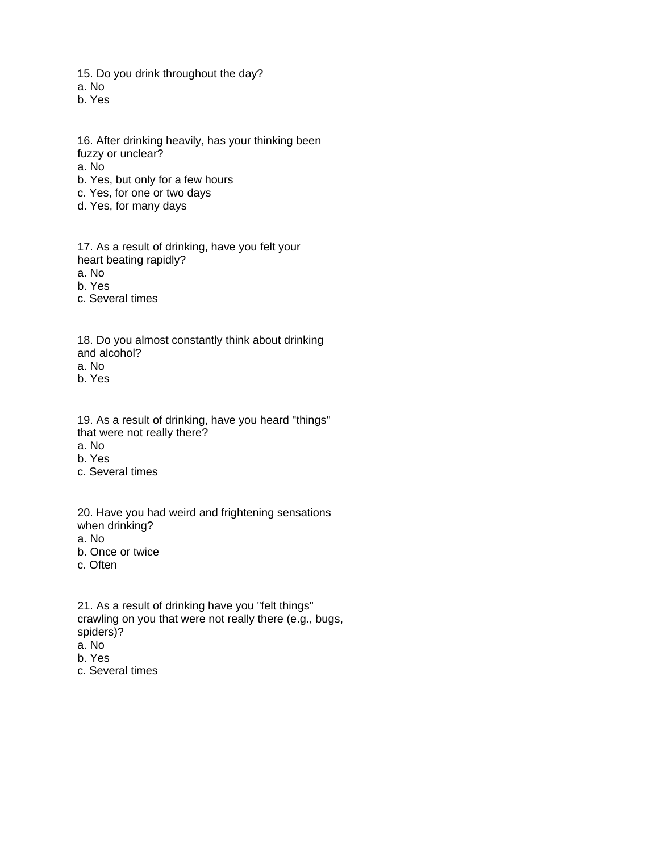15. Do you drink throughout the day? a. No

b. Yes

- 16. After drinking heavily, has your thinking been fuzzy or unclear? a. No b. Yes, but only for a few hours c. Yes, for one or two days d. Yes, for many days
- 17. As a result of drinking, have you felt your heart beating rapidly?

a. No

b. Yes

c. Several times

18. Do you almost constantly think about drinking and alcohol? a. No b. Yes

19. As a result of drinking, have you heard "things" that were not really there? a. No

b. Yes

c. Several times

20. Have you had weird and frightening sensations when drinking?

a. No

b. Once or twice

c. Often

21. As a result of drinking have you "felt things" crawling on you that were not really there (e.g., bugs, spiders)?

a. No

b. Yes

c. Several times